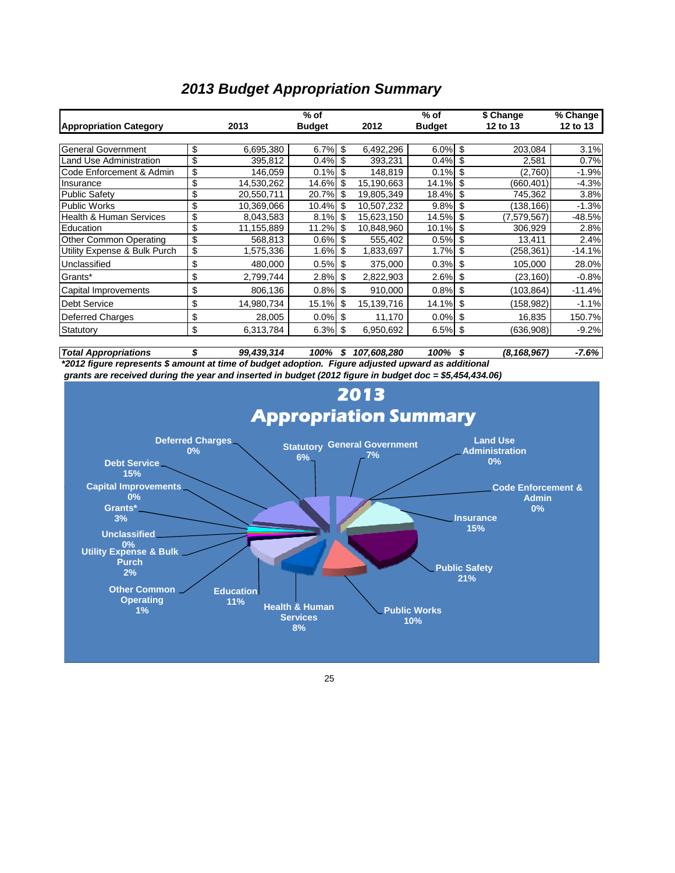### *2013 Budget Appropriation Summary*

|                                    |                  | $%$ of        |    |            | $%$ of        | \$ Change         | % Change |
|------------------------------------|------------------|---------------|----|------------|---------------|-------------------|----------|
| <b>Appropriation Category</b>      | 2013             | <b>Budget</b> |    | 2012       | <b>Budget</b> | 12 to 13          | 12 to 13 |
|                                    |                  |               |    |            |               |                   |          |
| <b>General Government</b>          | \$<br>6,695,380  | 6.7%          | \$ | 6,492,296  | 6.0%          | \$<br>203,084     | 3.1%     |
| <b>Land Use Administration</b>     | \$<br>395.812    | 0.4%          | \$ | 393,231    | 0.4%          | \$<br>2,581       | 0.7%     |
| Code Enforcement & Admin           | \$<br>146.059    | 0.1%          | \$ | 148.819    | 0.1%          | \$<br>(2,760)     | $-1.9%$  |
| Insurance                          | \$<br>14,530,262 | 14.6%         | \$ | 15,190,663 | 14.1%         | \$<br>(660,401)   | $-4.3%$  |
| <b>Public Safety</b>               | \$<br>20,550,711 | 20.7%         | \$ | 19,805,349 | 18.4%         | \$<br>745,362     | 3.8%     |
| <b>Public Works</b>                | \$<br>10,369,066 | 10.4%         | \$ | 10,507,232 | 9.8%          | \$<br>(138, 166)  | $-1.3%$  |
| <b>Health &amp; Human Services</b> | \$<br>8,043,583  | 8.1%          | \$ | 15,623,150 | 14.5%         | \$<br>(7,579,567) | $-48.5%$ |
| Education                          | \$<br>11,155,889 | 11.2%         | S  | 10,848,960 | 10.1%         | \$<br>306,929     | 2.8%     |
| Other Common Operating             | \$<br>568,813    | 0.6%          | \$ | 555,402    | 0.5%          | \$<br>13,411      | 2.4%     |
| Utility Expense & Bulk Purch       | \$<br>1,575,336  | 1.6%          | \$ | 1,833,697  | 1.7%          | \$<br>(258, 361)  | $-14.1%$ |
| Unclassified                       | \$<br>480,000    | 0.5%          | \$ | 375,000    | 0.3%          | \$<br>105,000     | 28.0%    |
| Grants*                            | \$<br>2,799,744  | 2.8%          | \$ | 2,822,903  | 2.6%          | \$<br>(23, 160)   | $-0.8%$  |
| Capital Improvements               | \$<br>806,136    | 0.8%          | \$ | 910,000    | 0.8%          | \$<br>(103, 864)  | $-11.4%$ |
| Debt Service                       | \$<br>14,980,734 | 15.1%         | \$ | 15,139,716 | 14.1%         | \$<br>(158,982)   | $-1.1%$  |
| <b>Deferred Charges</b>            | \$<br>28,005     | 0.0%          | \$ | 11,170     | 0.0%          | \$<br>16,835      | 150.7%   |
| Statutory                          | \$<br>6,313,784  | 6.3%          | \$ | 6,950,692  | 6.5%          | \$<br>(636,908)   | $-9.2%$  |

*Total Appropriations \$ 100% 107,608,28 99,439,314 \$ 100% (8,168,967) 0 \$ -7.6% \*2012 figure represents \$ amount at time of budget adoption. Figure adjusted upward as additional* 

 *grants are received during the year and inserted in budget (2012 figure in budget doc = \$5,454,434.06)*



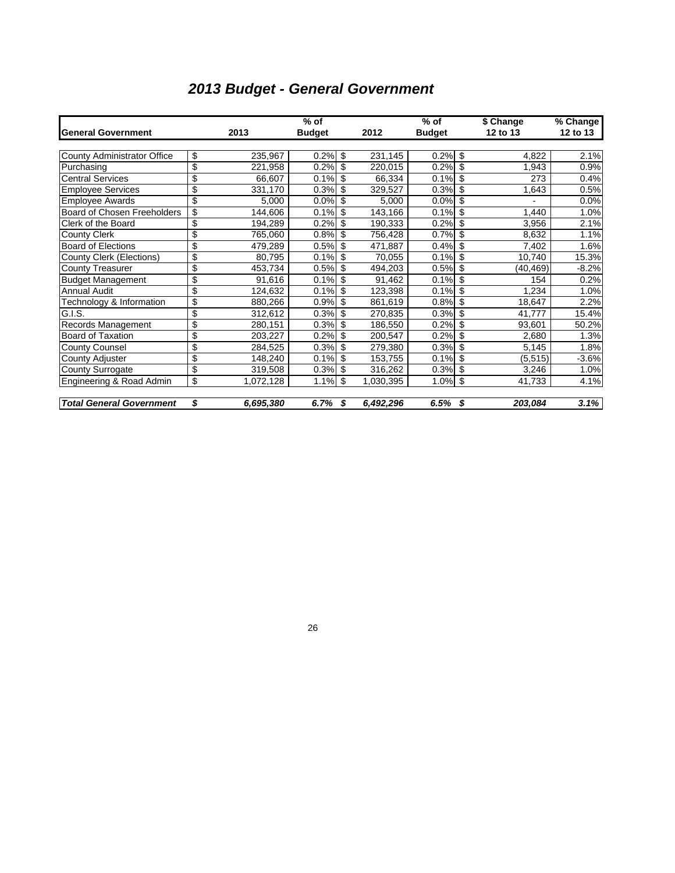# *2013 Budget - General Government*

|                                    |                          |           | $%$ of        |    |                      | $%$ of        |    | \$ Change | % Change |
|------------------------------------|--------------------------|-----------|---------------|----|----------------------|---------------|----|-----------|----------|
| <b>General Government</b>          |                          | 2013      | <b>Budget</b> |    | 2012                 | <b>Budget</b> |    | 12 to 13  | 12 to 13 |
|                                    |                          |           |               |    |                      |               |    |           |          |
| <b>County Administrator Office</b> | \$                       | 235,967   | 0.2%          | \$ | 231,145              | 0.2%          | \$ | 4,822     | 2.1%     |
| Purchasing                         | \$                       | 221,958   | 0.2%          | \$ | 220,015              | 0.2%          | \$ | 1,943     | 0.9%     |
| <b>Central Services</b>            | \$                       | 66,607    | 0.1%          | \$ | 66,334               | 0.1%          | \$ | 273       | 0.4%     |
| <b>Employee Services</b>           | \$                       | 331,170   | 0.3%          | \$ | 329,527              | 0.3%          | \$ | 1,643     | 0.5%     |
| <b>Employee Awards</b>             | \$                       | 5,000     | 0.0%          | \$ | 5,000                | 0.0%          | \$ |           | 0.0%     |
| Board of Chosen Freeholders        | \$                       | 144,606   | 0.1%          | \$ | 143,166              | 0.1%          | \$ | 1,440     | 1.0%     |
| Clerk of the Board                 | \$                       | 194,289   | 0.2%          | \$ | 190,333              | 0.2%          | \$ | 3,956     | 2.1%     |
| <b>County Clerk</b>                | \$                       | 765,060   | 0.8%          | \$ | 756,428              | 0.7%          | \$ | 8,632     | 1.1%     |
| <b>Board of Elections</b>          | \$                       | 479,289   | 0.5%          | \$ | 471,887              | 0.4%          | \$ | 7,402     | 1.6%     |
| County Clerk (Elections)           | \$                       | 80,795    | 0.1%          | \$ | 70,055               | 0.1%          | \$ | 10,740    | 15.3%    |
| <b>County Treasurer</b>            | \$                       | 453,734   | 0.5%          | \$ | 494,203              | 0.5%          | \$ | (40, 469) | $-8.2%$  |
| <b>Budget Management</b>           | \$                       | 91,616    | 0.1%          | \$ | 91,462               | 0.1%          | \$ | 154       | 0.2%     |
| <b>Annual Audit</b>                | \$                       | 124,632   | 0.1%          | \$ | $\overline{12}3,398$ | 0.1%          | \$ | 1,234     | 1.0%     |
| Technology & Information           | $\overline{\mathcal{S}}$ | 880,266   | 0.9%          | \$ | 861,619              | 0.8%          | \$ | 18,647    | 2.2%     |
| G.I.S.                             | \$                       | 312,612   | 0.3%          | \$ | 270,835              | 0.3%          | \$ | 41,777    | 15.4%    |
| Records Management                 | \$                       | 280,151   | 0.3%          | \$ | 186,550              | 0.2%          | \$ | 93,601    | 50.2%    |
| <b>Board of Taxation</b>           | \$                       | 203,227   | 0.2%          | \$ | 200,547              | 0.2%          | \$ | 2,680     | 1.3%     |
| <b>County Counsel</b>              | \$                       | 284,525   | 0.3%          | \$ | 279,380              | 0.3%          | \$ | 5,145     | 1.8%     |
| County Adjuster                    | \$                       | 148,240   | 0.1%          | \$ | 153,755              | 0.1%          | \$ | (5, 515)  | $-3.6%$  |
| County Surrogate                   | \$                       | 319,508   | 0.3%          | \$ | 316,262              | 0.3%          | \$ | 3,246     | 1.0%     |
| Engineering & Road Admin           | \$                       | 1,072,128 | 1.1%          | \$ | 1,030,395            | 1.0%          | \$ | 41,733    | 4.1%     |
| <b>Total General Government</b>    | \$                       | 6,695,380 | 6.7%          | S  | 6,492,296            | 6.5%          | S  | 203,084   | 3.1%     |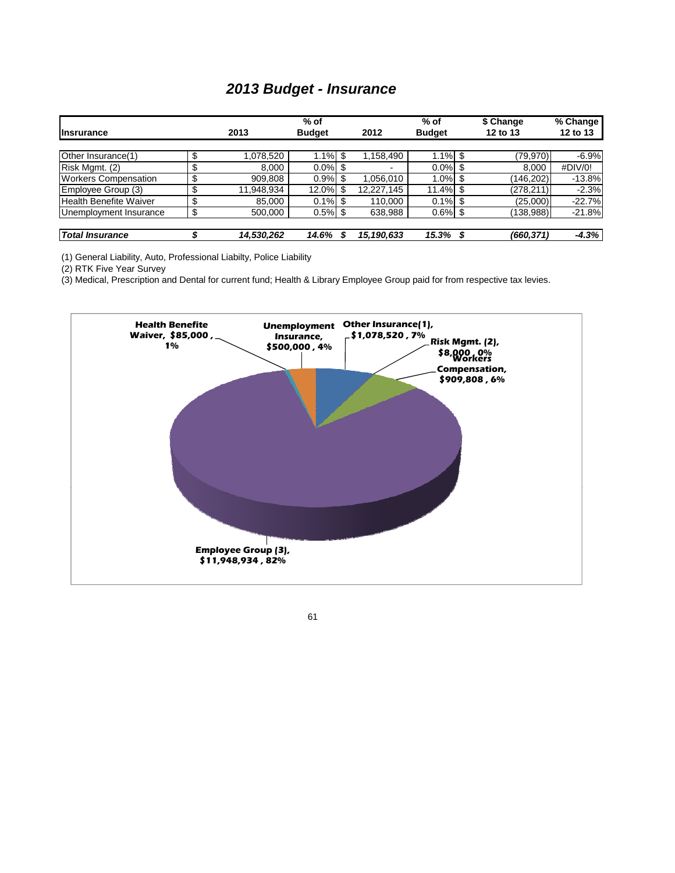### *2013 Budget - Insurance*

|                             |    |            | $%$ of        |    |            | $%$ of        |    | \$ Change  | % Change |
|-----------------------------|----|------------|---------------|----|------------|---------------|----|------------|----------|
| <b>Insrurance</b>           |    | 2013       | <b>Budget</b> |    | 2012       | <b>Budget</b> |    | 12 to 13   | 12 to 13 |
|                             |    |            |               |    |            |               |    |            |          |
| Other Insurance(1)          |    | 1,078,520  | 1.1%          | \$ | 1,158,490  | .1%           | \$ | (79,970)   | $-6.9%$  |
| Risk Mgmt. (2)              | \$ | 8.000      | $0.0\%$       |    |            | $0.0\%$       | \$ | 8.000      | #DIV/0!  |
| <b>Workers Compensation</b> |    | 909,808    | 0.9%          | S  | 1,056,010  | 1.0%          | \$ | (146, 202) | $-13.8%$ |
| Employee Group (3)          | Φ  | 11,948,934 | 12.0%         | S  | 12,227,145 | 11.4%         | S  | (278,211)  | $-2.3%$  |
| Health Benefite Waiver      |    | 85,000     | $0.1\%$ \$    |    | 110,000    | 0.1%          | \$ | (25,000)   | $-22.7%$ |
| Unemployment Insurance      | \$ | 500,000    | $0.5\%$ \$    |    | 638,988    | $0.6\%$ \$    |    | (138,988)  | $-21.8%$ |
|                             |    |            |               |    |            |               |    |            |          |
| <b>Total Insurance</b>      |    | 14,530,262 | 14.6%         | S  | 15,190,633 | 15.3%         |    | (660,371)  | $-4.3%$  |

(1) General Liability, Auto, Professional Liabilty, Police Liability

(2) RTK Five Year Survey

(3) Medical, Prescription and Dental for current fund; Health & Library Employee Group paid for from respective tax levies.



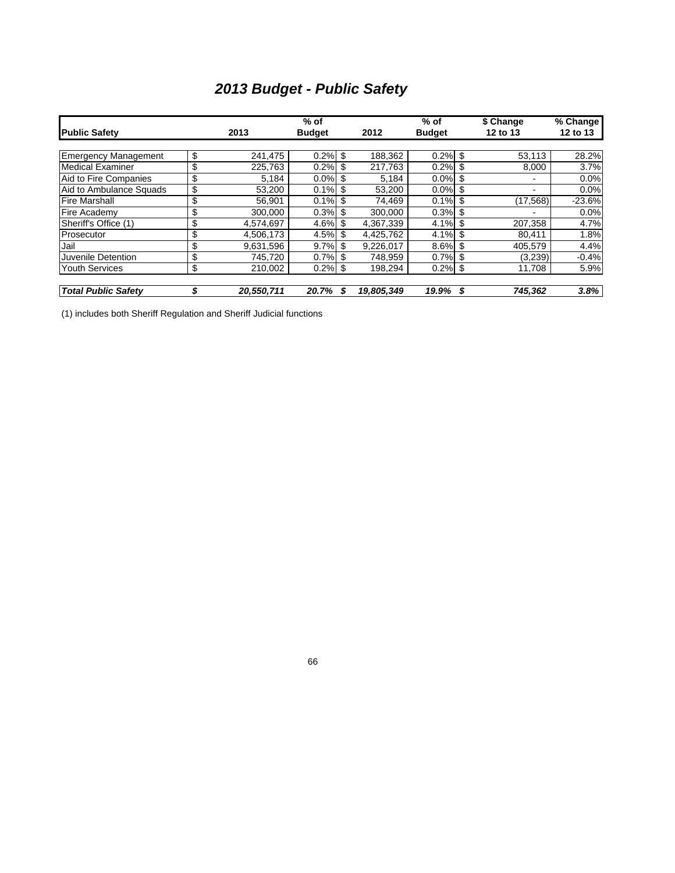# *2013 Budget - Public Safety*

|                             |                  | $%$ of        |     |            | $%$ of        |    | \$ Change | % Change |
|-----------------------------|------------------|---------------|-----|------------|---------------|----|-----------|----------|
| <b>Public Safety</b>        | 2013             | <b>Budget</b> |     | 2012       | <b>Budget</b> |    | 12 to 13  | 12 to 13 |
|                             |                  |               |     |            |               |    |           |          |
| <b>Emergency Management</b> | \$<br>241.475    | 0.2%          | \$  | 188.362    | 0.2%          | \$ | 53.113    | 28.2%    |
| <b>Medical Examiner</b>     | \$<br>225,763    | 0.2%          | \$  | 217.763    | 0.2%          | \$ | 8,000     | 3.7%     |
| Aid to Fire Companies       | \$<br>5.184      | $0.0\%$       | \$  | 5.184      | $0.0\%$       | \$ |           | 0.0%     |
| Aid to Ambulance Squads     | \$<br>53.200     | 0.1%          | \$  | 53.200     | $0.0\%$       | \$ | -         | 0.0%     |
| <b>Fire Marshall</b>        | \$<br>56.901     | 0.1%          |     | 74,469     | 0.1%          |    | (17, 568) | $-23.6%$ |
| Fire Academy                | \$<br>300,000    | 0.3%          | \$  | 300.000    | 0.3%          | \$ |           | 0.0%     |
| Sheriff's Office (1)        | \$<br>4.574.697  | 4.6%          | \$. | 4.367.339  | 4.1%          | \$ | 207.358   | 4.7%     |
| Prosecutor                  | \$<br>4,506,173  | 4.5%          | \$  | 4.425.762  | 4.1%          | \$ | 80.411    | 1.8%     |
| Jail                        | \$<br>9.631.596  | 9.7%          |     | 9.226.017  | 8.6%          |    | 405.579   | 4.4%     |
| Juvenile Detention          | \$<br>745.720    | $0.7\%$       | \$  | 748.959    | $0.7\%$ \$    |    | (3,239)   | $-0.4%$  |
| <b>Youth Services</b>       | \$<br>210,002    | 0.2%          | -\$ | 198,294    | $0.2\%$ \$    |    | 11,708    | 5.9%     |
| <b>Total Public Safety</b>  | \$<br>20,550,711 | 20.7%         | \$  | 19,805,349 | 19.9%         | S  | 745,362   | 3.8%     |

(1) includes both Sheriff Regulation and Sheriff Judicial functions

66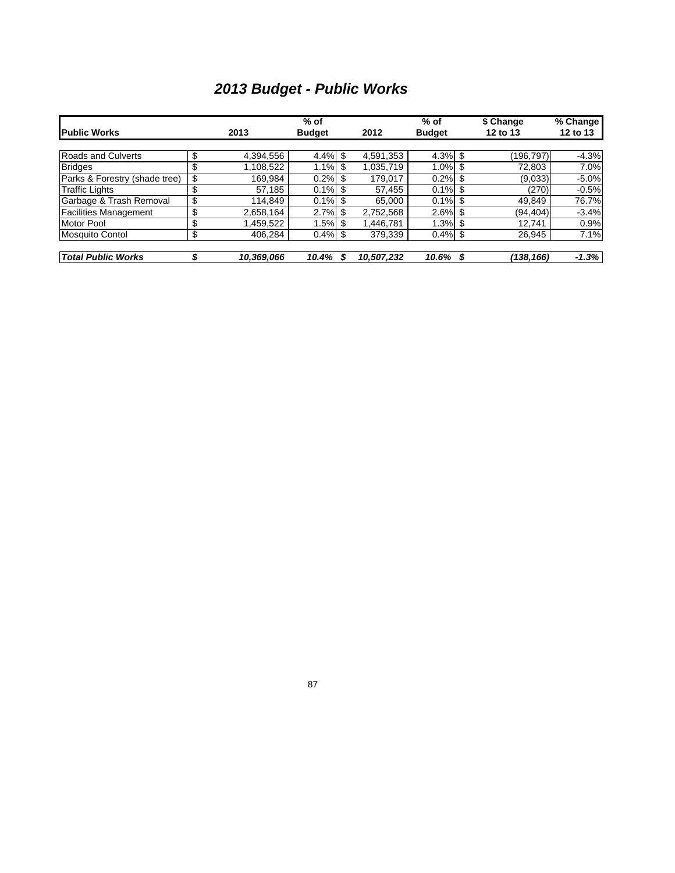# *2013 Budget - Public Works*

|                               |                  | $%$ of        |    |            | $%$ of        |     | \$ Change | $\sqrt{2}$ Change |
|-------------------------------|------------------|---------------|----|------------|---------------|-----|-----------|-------------------|
| <b>Public Works</b>           | 2013             | <b>Budget</b> |    | 2012       | <b>Budget</b> |     | 12 to 13  | 12 to 13          |
|                               |                  |               |    |            |               |     |           |                   |
| <b>Roads and Culverts</b>     | \$<br>4,394,556  | $4.4\%$ \$    |    | 4,591,353  | $4.3\%$ \$    |     | (196.797) | $-4.3%$           |
| <b>Bridges</b>                | \$<br>1,108,522  | 1.1%          | \$ | 1.035.719  | $1.0\%$ \$    |     | 72,803    | 7.0%              |
| Parks & Forestry (shade tree) | \$<br>169.984    | 0.2%          |    | 179.017    | 0.2%          | -\$ | (9,033)   | $-5.0%$           |
| <b>Traffic Lights</b>         | \$<br>57,185     | $0.1\%$ \$    |    | 57,455     | $0.1\%$ \$    |     | (270)     | $-0.5%$           |
| Garbage & Trash Removal       | \$<br>114,849    | $0.1\%$ \$    |    | 65.000     | $0.1\%$ \$    |     | 49,849    | 76.7%             |
| <b>Facilities Management</b>  | \$<br>2,658,164  | $2.7\%$ \$    |    | 2,752,568  | $2.6\%$ \$    |     | (94.404)  | $-3.4%$           |
| <b>Motor Pool</b>             | \$<br>1,459,522  | $1.5\%$ \$    |    | 1.446.781  | $1.3\%$ \$    |     | 12,741    | 0.9%              |
| <b>Mosquito Contol</b>        | \$<br>406,284    | $0.4\%$ \$    |    | 379,339    | $0.4\%$ \$    |     | 26,945    | 7.1%              |
| <b>Total Public Works</b>     | \$<br>10,369,066 | 10.4%         | S  | 10,507,232 | 10.6%         | \$  | (138,166) | $-1.3%$           |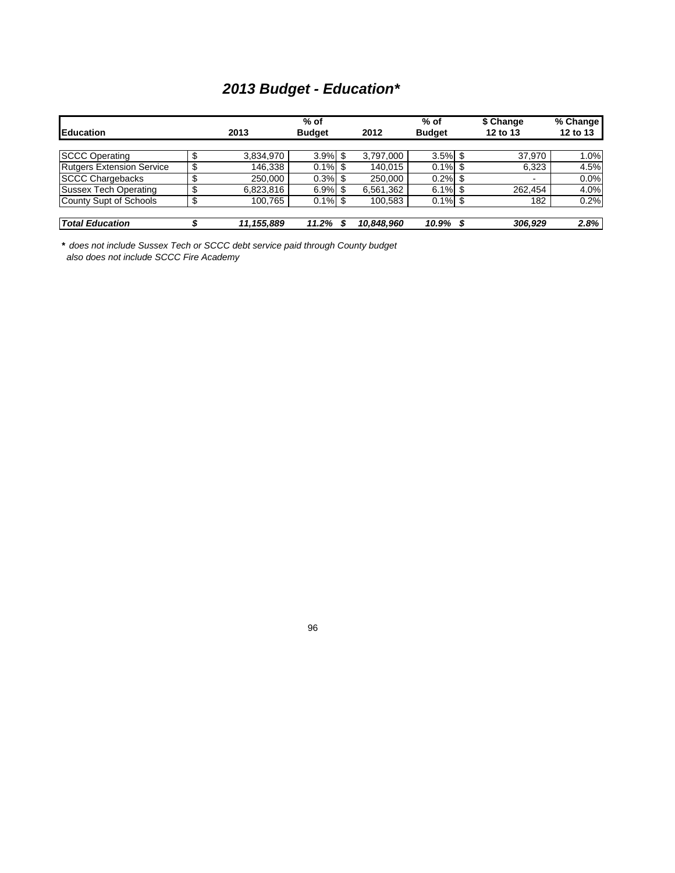# *2013 Budget - Education\**

| Education                        |         | 2013       | $%$ of<br><b>Budget</b> |     | 2012       | $%$ of<br><b>Budget</b> | \$ Change<br>12 to 13 | % Change<br>12 to 13 |
|----------------------------------|---------|------------|-------------------------|-----|------------|-------------------------|-----------------------|----------------------|
| <b>SCCC Operating</b>            | ۰U      | 3,834,970  | $3.9\%$ \$              |     | 3,797,000  | $3.5\%$ \$              | 37,970                | 1.0%                 |
| <b>Rutgers Extension Service</b> | \$      | 146.338    | $0.1\%$ \$              |     | 140.015    | $0.1\%$ \$              | 6,323                 | 4.5%                 |
| <b>SCCC Chargebacks</b>          | œ       | 250,000    | 0.3%                    | \$. | 250,000    | 0.2%                    | ۰.                    | 0.0%                 |
| <b>Sussex Tech Operating</b>     |         | 6,823,816  | 6.9%                    | \$. | 6,561,362  | $6.1\%$ \$              | 262.454               | 4.0%                 |
| County Supt of Schools           | c<br>۰U | 100.765    | $0.1\%$ \$              |     | 100.583    | $0.1\%$ \$              | 182                   | 0.2%                 |
|                                  |         |            |                         |     |            |                         |                       |                      |
| <b>Total Education</b>           |         | 11,155,889 | 11.2%                   |     | 10,848,960 | 10.9%                   | 306.929               | 2.8%                 |

*\* does not include Sussex Tech or SCCC debt service paid through County budget also does not include SCCC Fire Academy*

96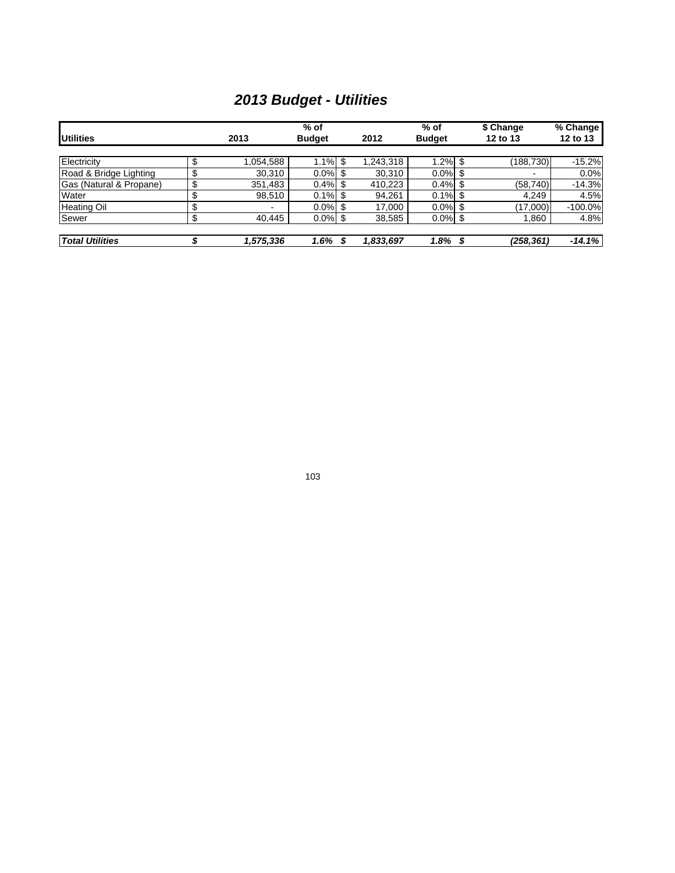# *2013 Budget - Utilities*

|                         |         |           | $%$ of        |                 | $%$ of        |      | \$ Change  | % Change  |
|-------------------------|---------|-----------|---------------|-----------------|---------------|------|------------|-----------|
| <b>Utilities</b>        |         | 2013      | <b>Budget</b> | 2012            | <b>Budget</b> |      | 12 to 13   | 12 to 13  |
|                         |         |           |               |                 |               |      |            |           |
| Electricity             | ¢<br>Ф  | 1.054.588 | 1.1%          | \$<br>1.243.318 | 1.2%          | \$   | (188, 730) | $-15.2%$  |
| Road & Bridge Lighting  | σ<br>Œ  | 30,310    | $0.0\%$ \$    | 30,310          | $0.0\%$ \$    |      |            | 0.0%      |
| Gas (Natural & Propane) | ¢<br>Œ  | 351,483   | 0.4%          | 410,223         | 0.4%          |      | (58, 740)  | $-14.3%$  |
| Water                   | σ<br>ъD | 98,510    | $0.1\%$ \$    | 94,261          | $0.1\%$ \$    |      | 4,249      | 4.5%      |
| <b>Heating Oil</b>      | ¢<br>ъD | ۰         | $0.0\%$       | 17,000          | $0.0\%$       | - \$ | (17,000)   | $-100.0%$ |
| Sewer                   | σ<br>Φ  | 40.445    | $0.0\%$ \$    | 38,585          | $0.0\%$ \$    |      | .860       | 4.8%      |
|                         |         |           |               |                 |               |      |            |           |
| <b>Total Utilities</b>  |         | 1,575,336 | 1.6%          | 1,833,697       | 1.8%          | S    | (258,361)  | $-14.1%$  |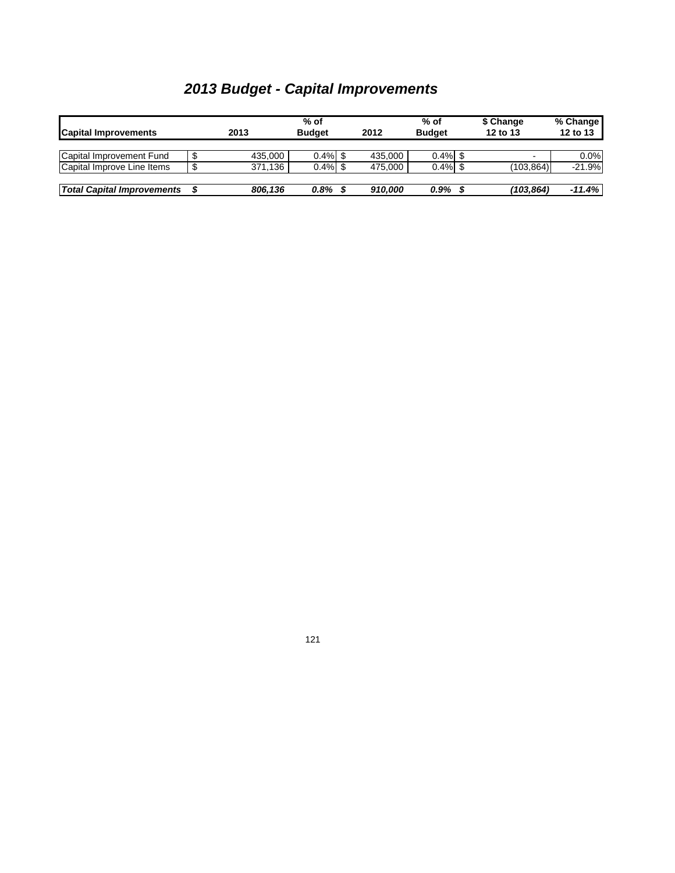| <b>Capital Improvements</b>       |   | 2013    | % of<br><b>Budget</b> | 2012    | $%$ of<br><b>Budget</b> | \$ Change<br>12 to 13 | % Change<br>12 to 13 |
|-----------------------------------|---|---------|-----------------------|---------|-------------------------|-----------------------|----------------------|
| Capital Improvement Fund          | J | 435.000 | $0.4\%$               | 435.000 | $0.4\%$ \$              | $\blacksquare$        | $0.0\%$              |
| Capital Improve Line Items        | S | 371.136 | $0.4\%$               | 475.000 | $0.4\%$ \$              | (103.864)             | $-21.9%$             |
| <b>Total Capital Improvements</b> |   | 806.136 | 0.8%                  | 910.000 | 0.9%                    | (103, 864)            | $-11.4%$             |

# *2013 Budget - Capital Improvements*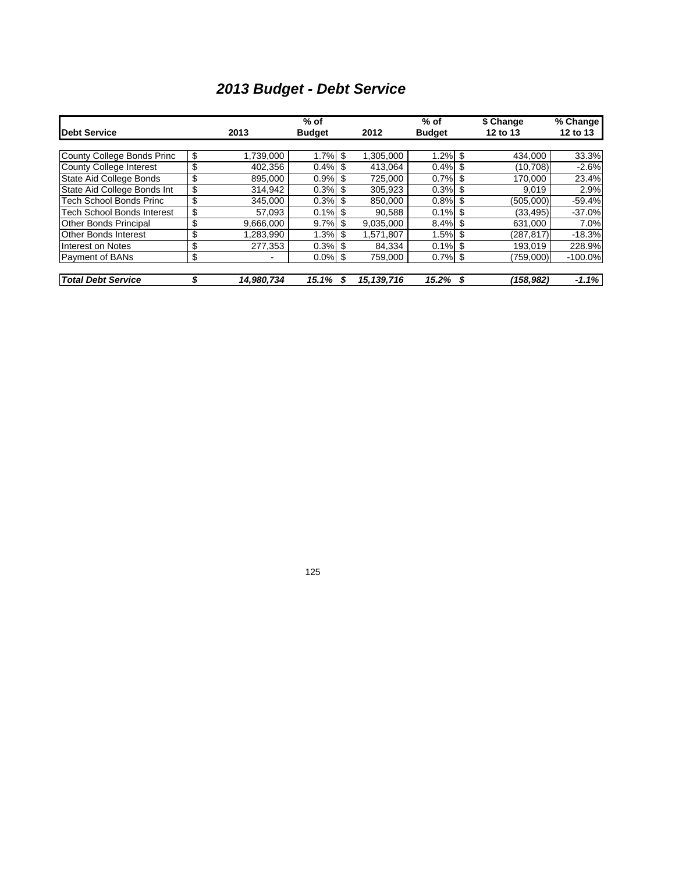# *2013 Budget - Debt Service*

|                                |                  | $%$ of        |     |            | $%$ of        |   | \$ Change | % Change  |
|--------------------------------|------------------|---------------|-----|------------|---------------|---|-----------|-----------|
| Debt Service                   | 2013             | <b>Budget</b> |     | 2012       | <b>Budget</b> |   | 12 to 13  | 12 to 13  |
|                                |                  |               |     |            |               |   |           |           |
| County College Bonds Princ     | \$<br>1,739,000  | 1.7%          | \$  | 1,305,000  | $1.2\%$ \$    |   | 434.000   | 33.3%     |
| County College Interest        | \$<br>402,356    | 0.4%          | \$. | 413.064    | $0.4\%$ \$    |   | (10.708)  | $-2.6%$   |
| State Aid College Bonds        | \$<br>895.000    | 0.9%          | \$. | 725.000    | $0.7\%$ \$    |   | 170.000   | 23.4%     |
| State Aid College Bonds Int    | \$<br>314.942    | 0.3%          | \$. | 305.923    | $0.3\%$ \$    |   | 9,019     | 2.9%      |
| <b>Tech School Bonds Princ</b> | \$<br>345.000    | 0.3%          | -S  | 850.000    | $0.8\%$ \$    |   | (505.000) | $-59.4%$  |
| Tech School Bonds Interest     | \$<br>57.093     | $0.1\%$ \$    |     | 90.588     | $0.1\%$ \$    |   | (33, 495) | $-37.0%$  |
| <b>Other Bonds Principal</b>   | \$<br>9,666,000  | $9.7\%$ \$    |     | 9,035,000  | $8.4\%$ \$    |   | 631,000   | 7.0%      |
| <b>Other Bonds Interest</b>    | \$<br>283,990.   | 1.3%          | \$  | 1.571.807  | $1.5\%$ \$    |   | (287.817) | $-18.3%$  |
| Interest on Notes              | \$<br>277,353    | $0.3\%$ \$    |     | 84,334     | $0.1\%$ \$    |   | 193.019   | 228.9%    |
| Payment of BANs                | \$<br>-          | $0.0\%$ \$    |     | 759,000    | $0.7\%$ \$    |   | (759,000) | $-100.0%$ |
|                                |                  |               |     |            |               |   |           |           |
| <b>Total Debt Service</b>      | \$<br>14,980,734 | 15.1%         | S   | 15,139,716 | 15.2%         | S | (158,982) | $-1.1%$   |